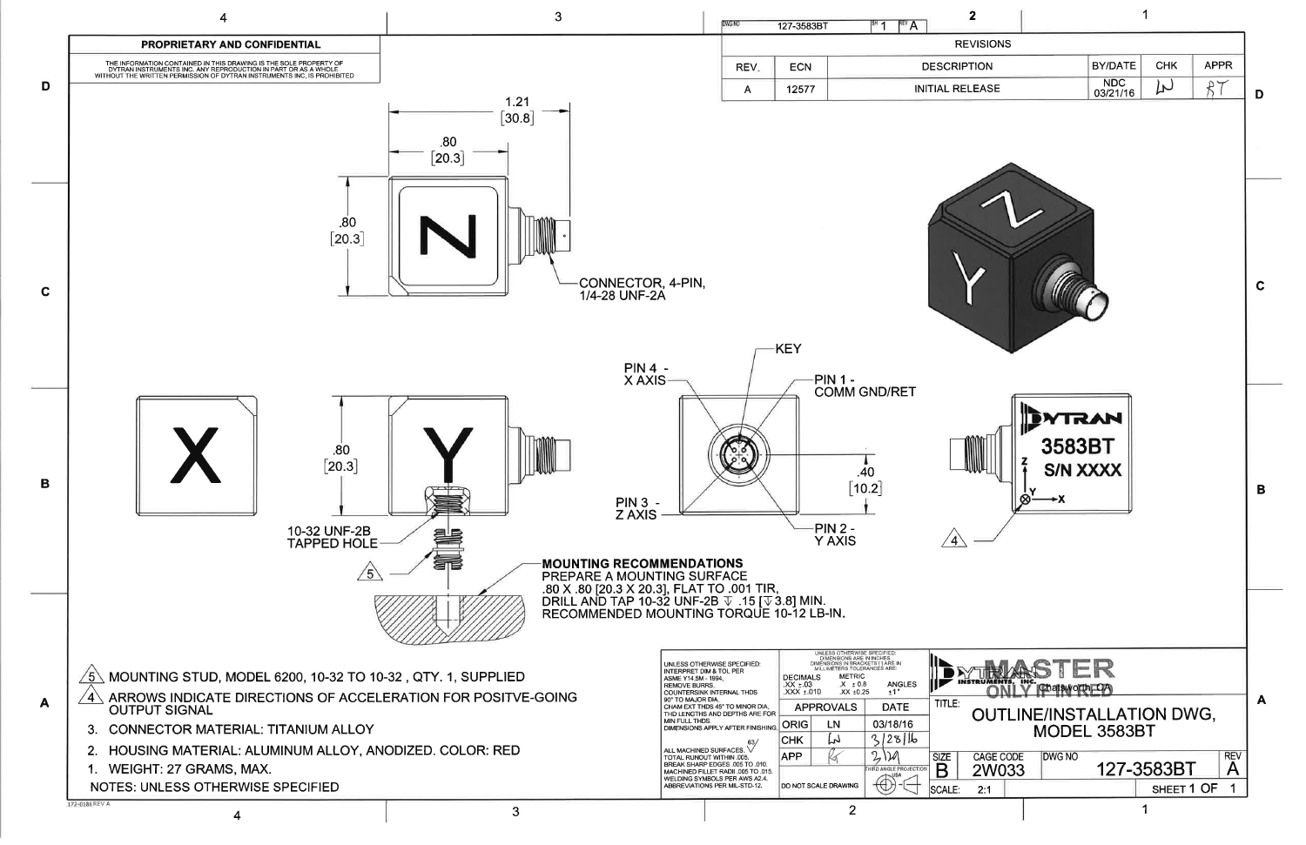

| $\overline{2}$                                                                                                                                                                           | 1                                             |                        |                  |             |   |
|------------------------------------------------------------------------------------------------------------------------------------------------------------------------------------------|-----------------------------------------------|------------------------|------------------|-------------|---|
| REVISIONS                                                                                                                                                                                |                                               |                        |                  |             |   |
| <b>IPTION</b>                                                                                                                                                                            |                                               | <b>BY/DATE</b>         | <b>CHK</b>       | <b>APPR</b> |   |
| <b>RELEASE</b>                                                                                                                                                                           |                                               | <b>NDC</b><br>03/21/16 | $\overline{\mu}$ |             | D |
|                                                                                                                                                                                          |                                               |                        |                  |             | C |
|                                                                                                                                                                                          | 3583BT<br>Ķ<br><b>S/N XXXX</b><br>∣ ∾<br>⊗—≁x | <b>NN</b>              |                  |             | B |
| STER<br>Chatsworth, UA<br><b>OUTLINE/INSTALLATION DWG,</b><br>MODEL 3583BT<br><b>REV</b><br><b>CAGE CODE</b><br><b>DWG NO</b><br>127-3583BT<br>Α<br>2W033<br>SHEET 1 OF<br>1<br>2:1<br>1 |                                               |                        |                  |             | А |